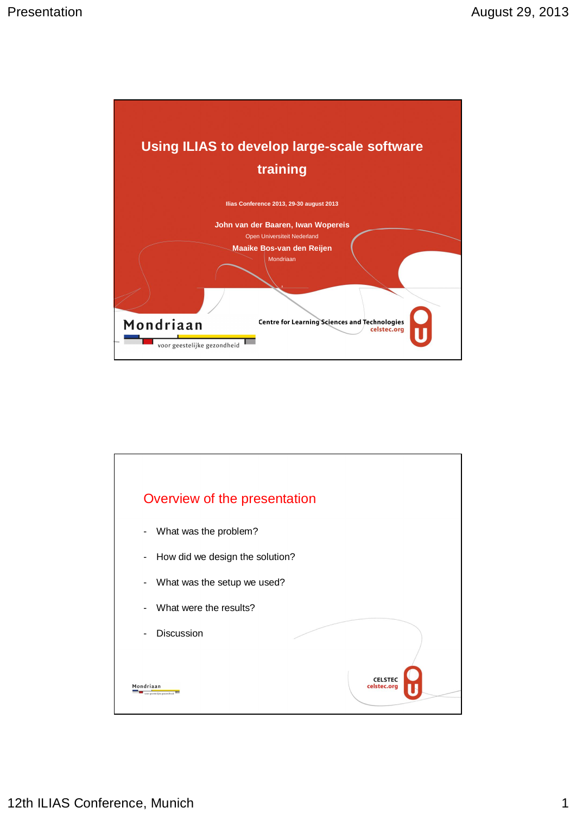

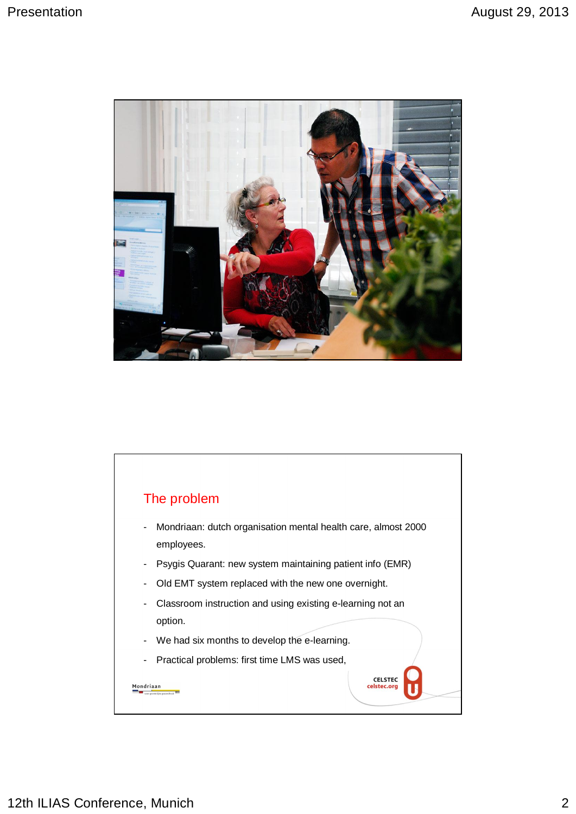

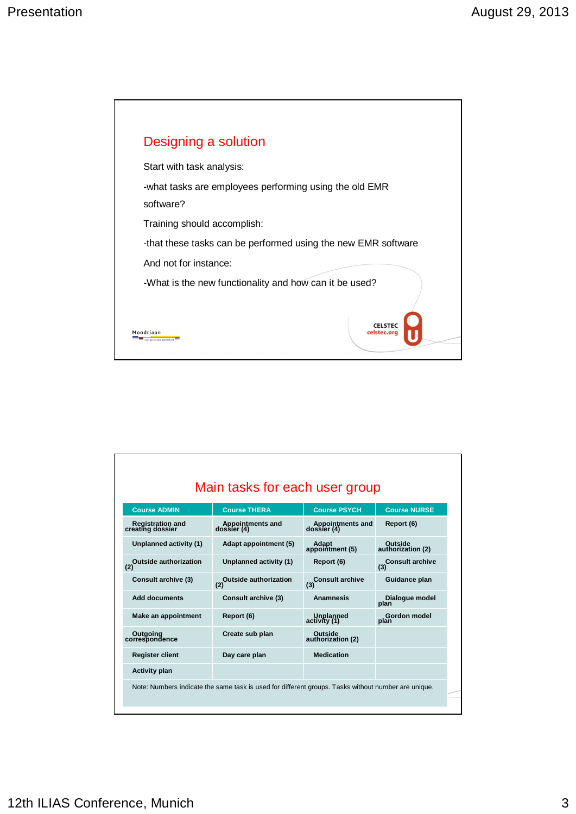

|                                             | Main tasks for each user group      |                                 |                                     |
|---------------------------------------------|-------------------------------------|---------------------------------|-------------------------------------|
| <b>Course ADMIN</b>                         | <b>Course THERA</b>                 | <b>Course PSYCH</b>             | <b>Course NURSE</b>                 |
| <b>Registration and</b><br>creating dossier | Appointments and<br>dossier (4)     | Appointments and<br>dossier (4) | Report (6)                          |
| Unplanned activity (1)                      | Adapt appointment (5)               | <b>Adapt</b><br>appointment (5) | <b>Outside</b><br>authorization (2) |
| Outside authorization                       | Unplanned activity (1)              | Report (6)                      | (3) Consult archive                 |
| <b>Consult archive (3)</b>                  | <b>Outside authorization</b><br>(2) | <b>Consult archive</b><br>(3)   | Guidance plan                       |
| <b>Add documents</b>                        | <b>Consult archive (3)</b>          | <b>Anamnesis</b>                | Dialogue model<br>plan              |
| Make an appointment                         | Report (6)                          | Unplanned<br>activity (1)       | Gordon model<br>plan                |
| Outgoing<br>correspondence                  | Create sub plan                     | Outside<br>authorization (2)    |                                     |
| <b>Register client</b>                      | Day care plan                       | <b>Medication</b>               |                                     |
| <b>Activity plan</b>                        |                                     |                                 |                                     |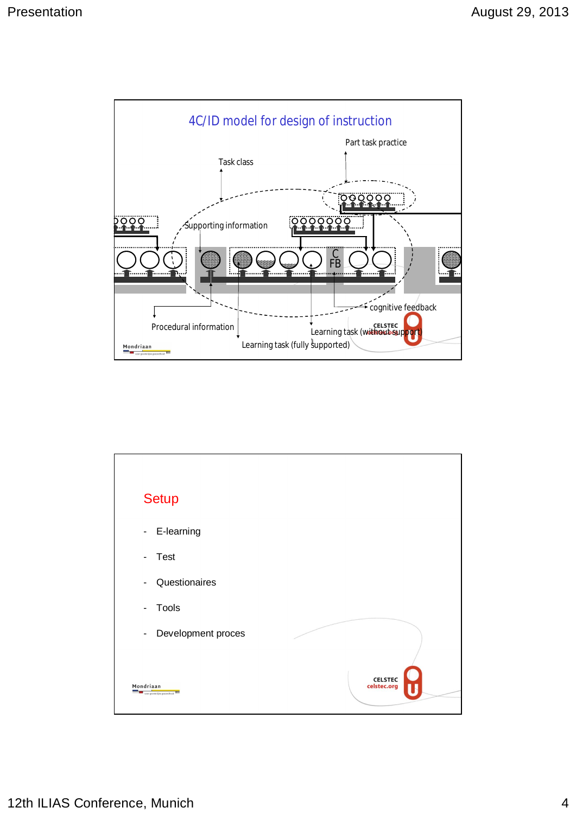

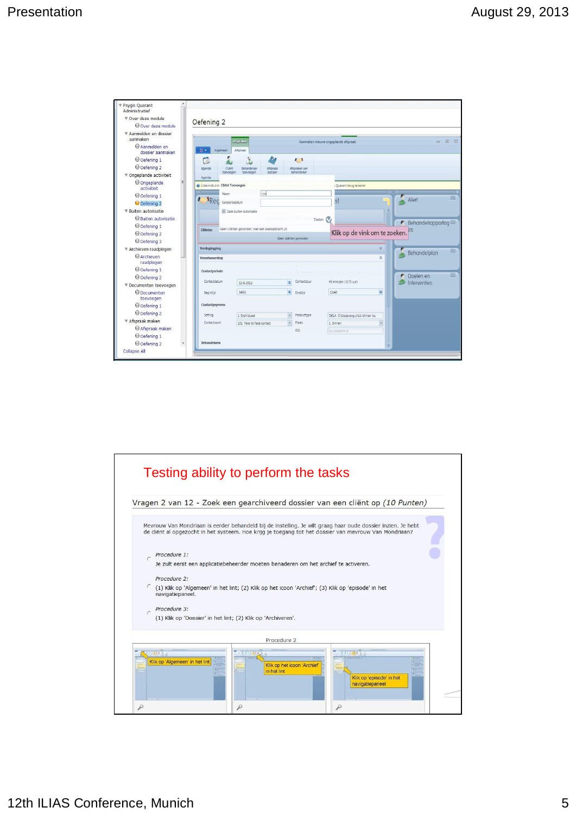| Psygis Quarant<br>Administratief |                                          |                           |                                                  |                        |                                     |    |                                       |
|----------------------------------|------------------------------------------|---------------------------|--------------------------------------------------|------------------------|-------------------------------------|----|---------------------------------------|
| ▼ Over deze module               |                                          |                           |                                                  |                        |                                     |    |                                       |
| O Over deze module               | Oefening 2                               |                           |                                                  |                        |                                     |    |                                       |
| ▼ Aanmelden en dossier           |                                          |                           |                                                  |                        |                                     |    |                                       |
| aanmaken                         |                                          | Afspraken                 |                                                  |                        | Aanmaken nieuwe ongeplande afspraak |    | $\Box$<br>53<br>$\Box$                |
| Aanmelden en<br>dossier aanmaken | Algemeen                                 | Afsoraak                  |                                                  |                        |                                     |    |                                       |
| O Oefening 1                     | D                                        |                           | 化                                                | $\mathbf{I}$           |                                     |    |                                       |
| O Oefening 2                     | Agenda<br>Client                         | Behandelaar               | Afspraak                                         | Afspraken per          |                                     |    |                                       |
| ▼ Ongeplande activiteit          | toevoegen<br>Agenda                      | toevoegen                 | opsiaan                                          | behandelaar            |                                     |    |                                       |
| O Ongeplande<br>activiteit       | <b>O</b> U bevindt zich Client Toevoegen |                           |                                                  |                        | Quarant terug te keren              |    |                                       |
| O Oefening 1                     | Naam                                     |                           | rijn                                             |                        |                                     |    | its.<br>Alert                         |
| O Oefening 2                     | Rec                                      | Geboortedatum             |                                                  |                        | ∍it                                 |    |                                       |
| ▼ Buiten autorisatie             |                                          | X Zoek buiten autorisatie |                                                  |                        |                                     |    |                                       |
| Buiten autorisatie               |                                          |                           |                                                  |                        | Zoeken V                            |    |                                       |
| O Oefening 1                     | Cliënten                                 |                           | Geen dienten gevonden, voer een zoekopdracht uit |                        |                                     |    | Behandelrapportag <sup>22</sup><br>r. |
| O Oefening 2                     |                                          |                           |                                                  |                        | Klik op de vink om te zoeken.       |    | es                                    |
| O Oefening 3                     |                                          |                           |                                                  | Geen clienten gevonden |                                     |    |                                       |
| ▼ Archieven raadplegen           | Verslaglegging                           |                           |                                                  |                        |                                     | Y. | 設<br>Behandelplan                     |
| <b>O</b> Archieven<br>raadplegen | Verantwoording                           |                           |                                                  |                        |                                     | ė  |                                       |
| O Oefening 1                     | Contactperiode                           |                           |                                                  |                        |                                     |    |                                       |
| O Oefening 2                     |                                          |                           |                                                  |                        |                                     |    | 23<br>Doelen en<br>r.                 |
| ▼ Documenten toevoegen           | Contactdatum                             | 12-6-2012                 |                                                  | Contactduur<br>田       | 45 minuten (0,75 uur)               |    | Interventies                          |
| O Documenten<br>toevoegen        | Begintijd                                | 14:55                     |                                                  | n<br>Endtlid           | 15:40                               | m  |                                       |
| O Oefening 1                     | Contactgegevens                          |                           |                                                  |                        |                                     |    |                                       |
| O Oefening 2                     | Setting                                  | 1 Individueel             |                                                  | Producttype            | D61A Crisisopvang crisis binnen ku  |    |                                       |
| ▼ Afspraak maken                 | Contactsoort                             | 101 Face to Face contact  |                                                  | Plaats                 | 1 Binnen                            |    |                                       |
| Afspraak maken                   |                                          |                           |                                                  | O.E.                   | Vul zoekterm in                     |    |                                       |
|                                  |                                          |                           |                                                  |                        |                                     |    |                                       |
| O Oefening 1                     |                                          |                           |                                                  |                        |                                     |    |                                       |

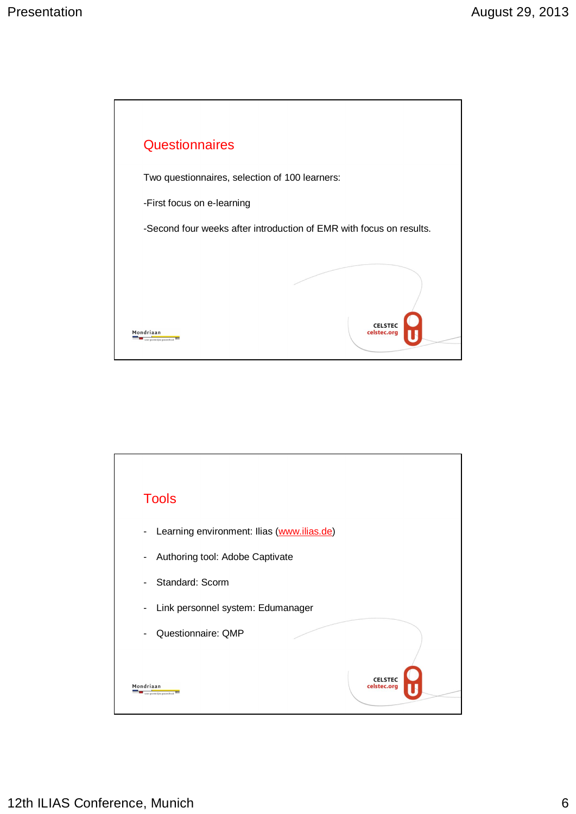

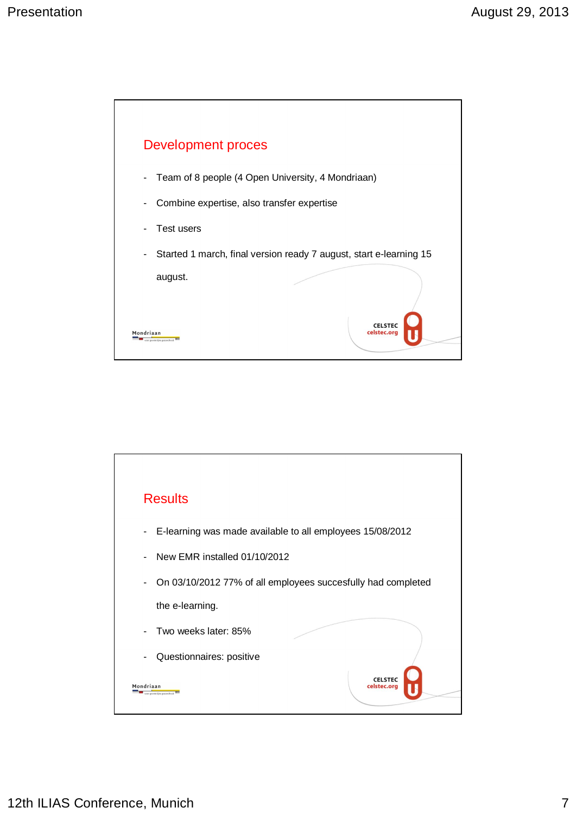

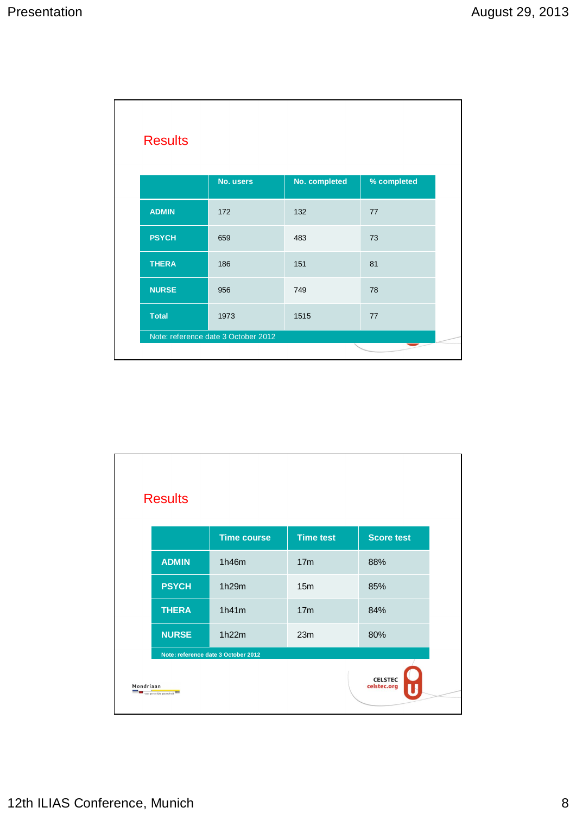| <b>Results</b> |                                     |               |             |
|----------------|-------------------------------------|---------------|-------------|
|                | No. users                           | No. completed | % completed |
| <b>ADMIN</b>   | 172                                 | 132           | 77          |
| <b>PSYCH</b>   | 659                                 | 483           | 73          |
| <b>THERA</b>   | 186                                 | 151           | 81          |
| <b>NURSE</b>   | 956                                 | 749           | 78          |
| <b>Total</b>   | 1973                                | 1515          | 77          |
|                | Note: reference date 3 October 2012 |               |             |

| <b>Results</b> |                                     |                  |                   |
|----------------|-------------------------------------|------------------|-------------------|
|                | <b>Time course</b>                  | <b>Time test</b> | <b>Score test</b> |
| <b>ADMIN</b>   | 1h46m                               | 17 <sub>m</sub>  | 88%               |
| <b>PSYCH</b>   | 1h29m                               | 15 <sub>m</sub>  | 85%               |
| <b>THERA</b>   | 1h41m                               | 17 <sub>m</sub>  | 84%               |
| <b>NURSE</b>   | 1h22m                               | 23m              | 80%               |
|                | Note: reference date 3 October 2012 |                  |                   |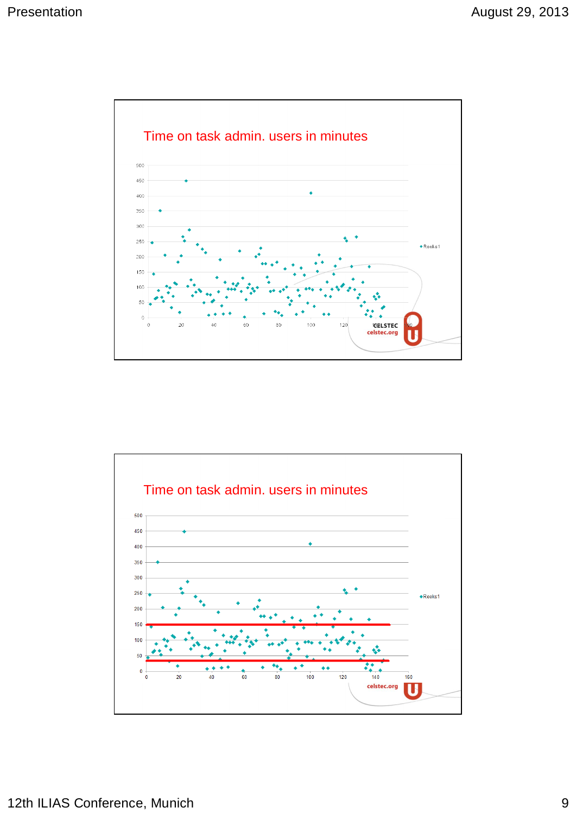